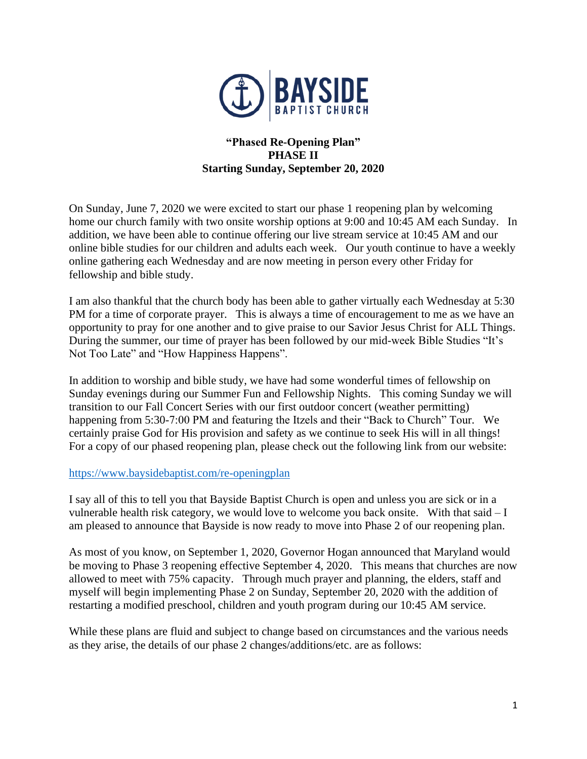

# **"Phased Re-Opening Plan" PHASE II Starting Sunday, September 20, 2020**

On Sunday, June 7, 2020 we were excited to start our phase 1 reopening plan by welcoming home our church family with two onsite worship options at 9:00 and 10:45 AM each Sunday. In addition, we have been able to continue offering our live stream service at 10:45 AM and our online bible studies for our children and adults each week. Our youth continue to have a weekly online gathering each Wednesday and are now meeting in person every other Friday for fellowship and bible study.

I am also thankful that the church body has been able to gather virtually each Wednesday at 5:30 PM for a time of corporate prayer. This is always a time of encouragement to me as we have an opportunity to pray for one another and to give praise to our Savior Jesus Christ for ALL Things. During the summer, our time of prayer has been followed by our mid-week Bible Studies "It's Not Too Late" and "How Happiness Happens".

In addition to worship and bible study, we have had some wonderful times of fellowship on Sunday evenings during our Summer Fun and Fellowship Nights. This coming Sunday we will transition to our Fall Concert Series with our first outdoor concert (weather permitting) happening from 5:30-7:00 PM and featuring the Itzels and their "Back to Church" Tour. We certainly praise God for His provision and safety as we continue to seek His will in all things! For a copy of our phased reopening plan, please check out the following link from our website:

# <https://www.baysidebaptist.com/re-openingplan>

I say all of this to tell you that Bayside Baptist Church is open and unless you are sick or in a vulnerable health risk category, we would love to welcome you back onsite. With that said – I am pleased to announce that Bayside is now ready to move into Phase 2 of our reopening plan.

As most of you know, on September 1, 2020, Governor Hogan announced that Maryland would be moving to Phase 3 reopening effective September 4, 2020. This means that churches are now allowed to meet with 75% capacity. Through much prayer and planning, the elders, staff and myself will begin implementing Phase 2 on Sunday, September 20, 2020 with the addition of restarting a modified preschool, children and youth program during our 10:45 AM service.

While these plans are fluid and subject to change based on circumstances and the various needs as they arise, the details of our phase 2 changes/additions/etc. are as follows: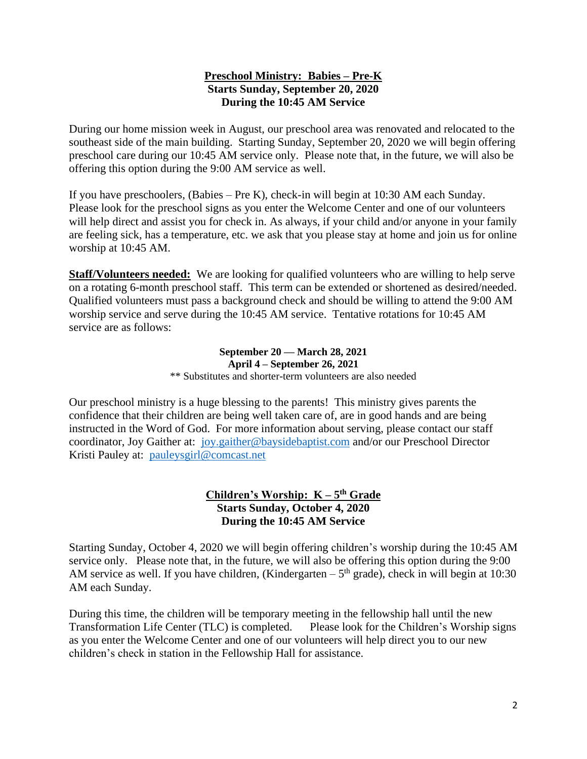# **Preschool Ministry: Babies – Pre-K Starts Sunday, September 20, 2020 During the 10:45 AM Service**

During our home mission week in August, our preschool area was renovated and relocated to the southeast side of the main building. Starting Sunday, September 20, 2020 we will begin offering preschool care during our 10:45 AM service only. Please note that, in the future, we will also be offering this option during the 9:00 AM service as well.

If you have preschoolers, (Babies – Pre K), check-in will begin at 10:30 AM each Sunday. Please look for the preschool signs as you enter the Welcome Center and one of our volunteers will help direct and assist you for check in. As always, if your child and/or anyone in your family are feeling sick, has a temperature, etc. we ask that you please stay at home and join us for online worship at 10:45 AM.

**Staff/Volunteers needed:** We are looking for qualified volunteers who are willing to help serve on a rotating 6-month preschool staff. This term can be extended or shortened as desired/needed. Qualified volunteers must pass a background check and should be willing to attend the 9:00 AM worship service and serve during the 10:45 AM service. Tentative rotations for 10:45 AM service are as follows:

#### **September 20 –– March 28, 2021 April 4 – September 26, 2021** \*\* Substitutes and shorter-term volunteers are also needed

Our preschool ministry is a huge blessing to the parents! This ministry gives parents the confidence that their children are being well taken care of, are in good hands and are being instructed in the Word of God. For more information about serving, please contact our staff coordinator, Joy Gaither at: [joy.gaither@baysidebaptist.com](mailto:joy.gaither@baysidebaptist.com) and/or our Preschool Director Kristi Pauley at: [pauleysgirl@comcast.net](mailto:pauleysgirl@comcast.net)

# **Children's Worship: K – 5 th Grade Starts Sunday, October 4, 2020 During the 10:45 AM Service**

Starting Sunday, October 4, 2020 we will begin offering children's worship during the 10:45 AM service only. Please note that, in the future, we will also be offering this option during the 9:00 AM service as well. If you have children, (Kindergarten  $-5<sup>th</sup>$  grade), check in will begin at 10:30 AM each Sunday.

During this time, the children will be temporary meeting in the fellowship hall until the new Transformation Life Center (TLC) is completed. Please look for the Children's Worship signs as you enter the Welcome Center and one of our volunteers will help direct you to our new children's check in station in the Fellowship Hall for assistance.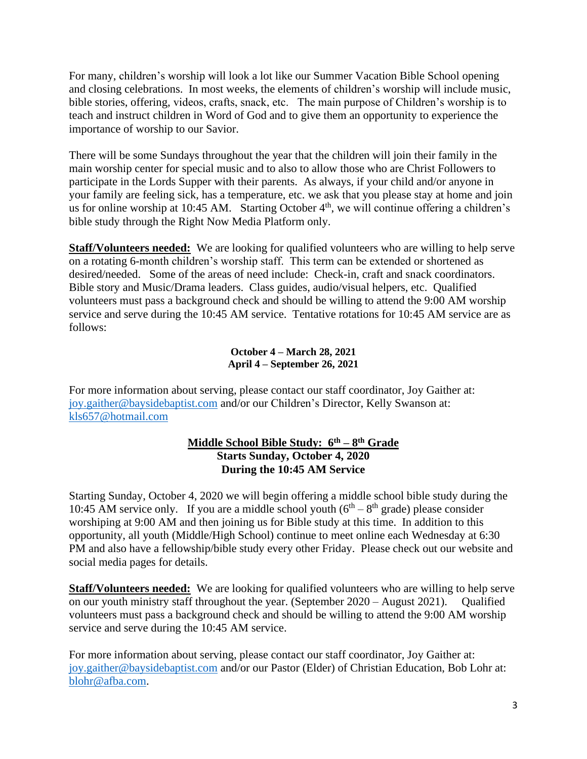For many, children's worship will look a lot like our Summer Vacation Bible School opening and closing celebrations. In most weeks, the elements of children's worship will include music, bible stories, offering, videos, crafts, snack, etc. The main purpose of Children's worship is to teach and instruct children in Word of God and to give them an opportunity to experience the importance of worship to our Savior.

There will be some Sundays throughout the year that the children will join their family in the main worship center for special music and to also to allow those who are Christ Followers to participate in the Lords Supper with their parents. As always, if your child and/or anyone in your family are feeling sick, has a temperature, etc. we ask that you please stay at home and join us for online worship at 10:45 AM. Starting October  $4<sup>th</sup>$ , we will continue offering a children's bible study through the Right Now Media Platform only.

**Staff/Volunteers needed:** We are looking for qualified volunteers who are willing to help serve on a rotating 6-month children's worship staff. This term can be extended or shortened as desired/needed. Some of the areas of need include: Check-in, craft and snack coordinators. Bible story and Music/Drama leaders. Class guides, audio/visual helpers, etc. Qualified volunteers must pass a background check and should be willing to attend the 9:00 AM worship service and serve during the 10:45 AM service. Tentative rotations for 10:45 AM service are as follows:

### **October 4 – March 28, 2021 April 4 – September 26, 2021**

For more information about serving, please contact our staff coordinator, Joy Gaither at: [joy.gaither@baysidebaptist.com](mailto:joy.gaither@baysidebaptist.com) and/or our Children's Director, Kelly Swanson at: [kls657@hotmail.com](mailto:kls657@hotmail.com)

# **Middle School Bible Study: 6th – 8 th Grade Starts Sunday, October 4, 2020 During the 10:45 AM Service**

Starting Sunday, October 4, 2020 we will begin offering a middle school bible study during the 10:45 AM service only. If you are a middle school youth  $(6<sup>th</sup> - 8<sup>th</sup>$  grade) please consider worshiping at 9:00 AM and then joining us for Bible study at this time. In addition to this opportunity, all youth (Middle/High School) continue to meet online each Wednesday at 6:30 PM and also have a fellowship/bible study every other Friday. Please check out our website and social media pages for details.

**Staff/Volunteers needed:** We are looking for qualified volunteers who are willing to help serve on our youth ministry staff throughout the year. (September 2020 – August 2021). Qualified volunteers must pass a background check and should be willing to attend the 9:00 AM worship service and serve during the 10:45 AM service.

For more information about serving, please contact our staff coordinator, Joy Gaither at: [joy.gaither@baysidebaptist.com](mailto:joy.gaither@baysidebaptist.com) and/or our Pastor (Elder) of Christian Education, Bob Lohr at: [blohr@afba.com.](mailto:blohr@afba.com)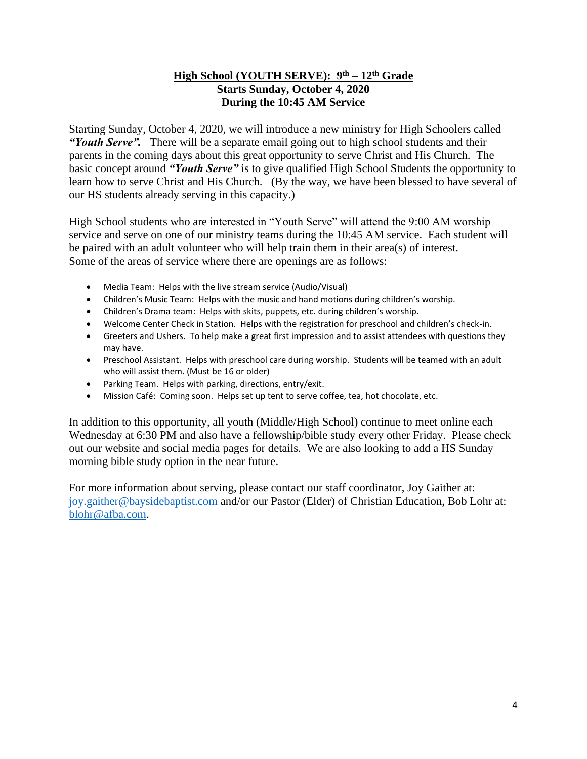# **High School (YOUTH SERVE): 9th – 12th Grade Starts Sunday, October 4, 2020 During the 10:45 AM Service**

Starting Sunday, October 4, 2020, we will introduce a new ministry for High Schoolers called *"Youth Serve".* There will be a separate email going out to high school students and their parents in the coming days about this great opportunity to serve Christ and His Church. The basic concept around *"Youth Serve"* is to give qualified High School Students the opportunity to learn how to serve Christ and His Church. (By the way, we have been blessed to have several of our HS students already serving in this capacity.)

High School students who are interested in "Youth Serve" will attend the 9:00 AM worship service and serve on one of our ministry teams during the 10:45 AM service. Each student will be paired with an adult volunteer who will help train them in their area(s) of interest. Some of the areas of service where there are openings are as follows:

- Media Team: Helps with the live stream service (Audio/Visual)
- Children's Music Team: Helps with the music and hand motions during children's worship.
- Children's Drama team: Helps with skits, puppets, etc. during children's worship.
- Welcome Center Check in Station. Helps with the registration for preschool and children's check-in.
- Greeters and Ushers. To help make a great first impression and to assist attendees with questions they may have.
- Preschool Assistant. Helps with preschool care during worship. Students will be teamed with an adult who will assist them. (Must be 16 or older)
- Parking Team. Helps with parking, directions, entry/exit.
- Mission Café: Coming soon. Helps set up tent to serve coffee, tea, hot chocolate, etc.

In addition to this opportunity, all youth (Middle/High School) continue to meet online each Wednesday at 6:30 PM and also have a fellowship/bible study every other Friday. Please check out our website and social media pages for details. We are also looking to add a HS Sunday morning bible study option in the near future.

For more information about serving, please contact our staff coordinator, Joy Gaither at: [joy.gaither@baysidebaptist.com](mailto:joy.gaither@baysidebaptist.com) and/or our Pastor (Elder) of Christian Education, Bob Lohr at: [blohr@afba.com.](mailto:blohr@afba.com)